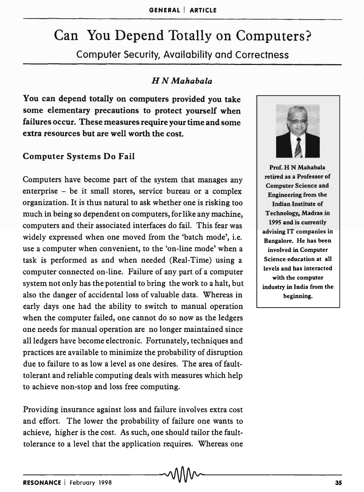# Can You Depend Totally on Computers?

Computer Security, Availability and Correctness

#### *H N Mahabala*

You can depend totally on computers provided you take some elementary precautions to protect yourself when failures occur. These measures require your time and some extra resources but are well worth the cost.

#### Computer Systems Do Fail

Computers have become part of the system that manages any enterprise - be it small stores, service bureau or a complex organization. It is thus natural to ask whether one is risking too much in being so dependent on computers, for like any machine, computers and their associated interfaces do fail. This fear was widely expressed when one moved from the 'batch mode', i.e. use a computer when convenient, to the 'on-line mode' when a task is performed as and when needed (Real-Time) using a computer connected on-line. Failure of any part of a computer system not only has the potential to bring the work to a halt, but also the danger of accidental loss of valuable data. Whereas in early days one had the ability to switch to manual operation when the computer failed, one cannot do so now as the ledgers one needs for manual operation are no longer maintained since all ledgers have become electronic. Fortunately, techniques and practices are available to minimize the probability of disruption due to failure to as low a level as one desires. The area of faulttolerant and reliable computing deals with measures which help to achieve non-stop and loss free computing.

Providing insurance against loss and failure involves extra cost and effort. The lower the probability of failure one wants to achieve, higher is the cost. As such, one should tailor the faulttolerance to a level that the application requires. Whereas one



Prof. H N Mahabala retired as a Professor of Computer Science and Engineering from the Indian Institute of Technology., Madras in 1995 and is currently advising IT companies in Bangalore. He has been involved in Computer Science education at all levels and has interacted with the computer industry in India from the beginning.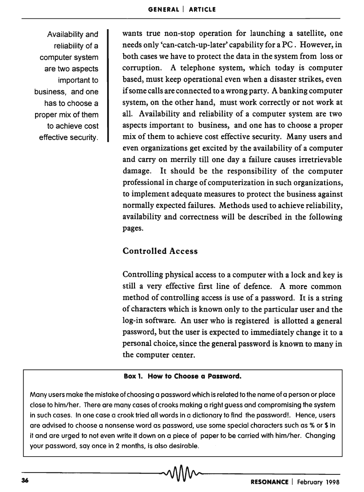Availability and reliability of a computer system are two aspects important to business, and one has to choose a proper mix of them to achieve cost effective security.

wants true non-stop operation for launching a satellite, one needs only 'can-catch-up-later' capability for a PC. However, in both cases we have to protect the data in the system from loss or corruption. A telephone system, which today is computer based, must keep operational even when a disaster strikes, even if some calls are connected to a wrong party. A banking computer system, on the other hand, must work correctly or not work at all. Availability and reliability of a computer system are two aspects important to business, and one has to choose a proper mix of them to achieve cost effective security. Many users and even organizations get excited by the availability of a computer and carry on merrily till one day a failure causes irretrievable damage. It should be the responsibility of the computer professional in charge of computerization in such organizations, to implement adequate measures to protect the business against normally expected failures. Methods used to achieve reliability, availability and correctness will be described in the following pages.

## Controlled Access

Controlling physical access to a computer with a lock and key is still a very effective first line of defence. A more common method of controlling access is use of a password. It is a string of characters which is known only to the particular user and the log-in software. An user who is registered is allotted a general password, but the user is expected to immediately change it to a personal choice, since the general password is known to many in the computer center.

#### Box 1. How to Choose a Password.

Many users make the mistake of choosing a password which is related to the name of a person or place close to him/her. There are many cases of crooks making a right guess and compromising the system in such cases. In one case a crook tried all words in a dictionary to find the password!. Hence, users are adVised to choose a nonsense word as password, use some special characters such as % or \$ in it and are urged to not even write it down on a piece of paper to be carried with him/her. Changing your password, say once in 2 months, is also desirable.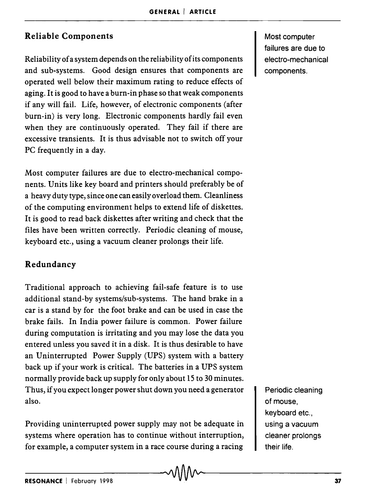#### Reliable Components

Reliability of a system depends on the reliability of its components and sub-systems. Good design ensures that components are operated well below their maximum rating to reduce effects of aging. It is good to have a burn-in phase so that weak components if any will fail. Life, however, of electronic components (after burn-in) is very long. Electronic components hardly fail even when they are continuously operated. They fail if there are excessive transients. It is thus advisable not to switch off your PC frequently in a day.

Most computer failures are due to electro-mechanical components. Units like key board and printers should preferably be of a heavy duty type, since one can easily overload them. Cleanliness of the computing environment helps to extend life of diskettes. It is good to read back diskettes after writing and check that the files have been written correctly. Periodic cleaning of mouse, keyboard etc., using a vacuum cleaner prolongs their life.

#### Redundancy

Traditional approach to achieving fail-safe feature is to use additional stand-by systems/sub-systems. The hand brake in a car is a stand by for the foot brake and can be used in case the brake fails. In India power failure is common. Power failure during computation is irritating and you may lose the data you entered unless you saved it in a disk. It is thus desirable to have an Uninterrupted Power Supply (UPS) system with a battery back up if your work is critical. The batteries in a UPS system normally provide back up supply for only about IS to 30 minutes. Thus, if you expect longer power shut down you need a generator also.

Providing uninterrupted power supply may not be adequate in systems where operation has to continue without interruption, for example, a computer system in a race course during a racing

Most computer failures are due to electro-mechanical components.

Periodic cleaning of mouse, keyboard etc., using a vacuum cleaner prolongs their life.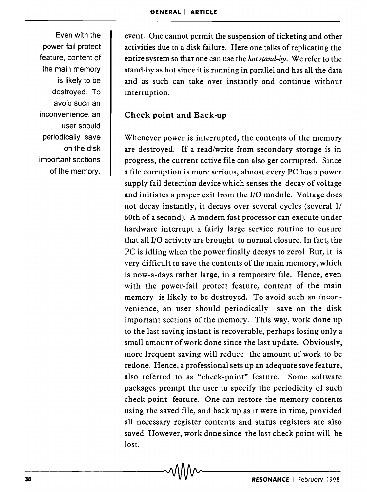Even with the power-fail protect feature, content of the main memory is likely to be destroyed. To avoid such an inconvenience, an user should periodically save on the disk important sections of the memory.

event. One cannot permit the suspension of ticketing and other activities due to a disk failure. Here one talks of replicating the entire system so that one can use the *hot stand-by.* We refer to the stand-by as hot since it is running in parallel and has all the data and as such can take over instantly and continue without interruption.

## **Check point and Back-up**

Whenever power is interrupted, the contents of the memory are destroyed. If a read/write from secondary storage is in progress, the current active file can also get corrupted. Since a file corruption is more serious, almost every PC has a power supply fail detection device which senses the decay of voltage and initiates a proper exit from the I/O module. Voltage does not decay instantly, it decays over several cycles (several 1/ 60th of a second). A modern fast processor can execute under hardware interrupt a fairly large service routine to ensure that all I/O activity are brought to normal closure. In fact, the PC is idling when the power finally decays to zero! But, it is very difficult to save the contents of the main memory, which is now-a-days rather large, in a temporary file. Hence, even with the power-fail protect feature, content of the main memory is likely to be destroyed. To avoid such an inconvenience, an user should periodically save on the disk important sections of the memory. This way, work done up to the last saving instant is recoverable, perhaps losing only a small amount of work done since the last update. Obviously, more frequent saving will reduce the amount of work to be redone. Hence, a professional sets up an adequate save feature, also referred to as "check-point" feature. Some software packages prompt the user to specify the periodicity of such check-point feature. One can restore the memory contents using the saved file, and back up as it were in time, provided all necessary register contents and status registers are also saved. However, work done since the last check point will be lost.  $\sim$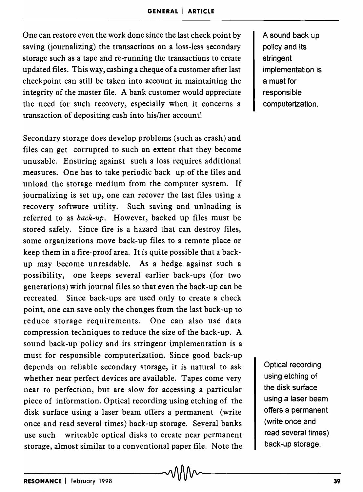One can restore even the work done since the last check point by saving (journalizing) the transactions on a loss-less secondary storage such as a tape and re-running the transactions to create updated files. This way, cashing a cheque of a customer after last checkpoint can still be taken into account in maintaining the integrity of the master file. A bank customer would appreciate the need for such recovery, especially when it concerns a transaction of depositing cash into his/her account!

Secondary storage does develop problems (such as crash) and files can get corrupted to such an extent that they become unusable. Ensuring against such a loss requires additional measures. One has to take periodic back up of the files and unload the storage medium from the computer system. If journalizing is set up, one can recover the last files using a recovery software utility. Such saving and unloading is referred to as *back-up.* However, backed up files must be stored safely. Since fire is a hazard that can destroy files, some organizations move back-up files to a remote place or keep them in a fire-proof area. It is quite possible that a backup may become unreadable. As a hedge against such a possibility, one keeps several earlier back-ups (for two generations) with journal files so that even the back-up can be recreated. Since back-ups are used only to create a check point, one can save only the changes from the last back-up to reduce storage requirements. One can also use data compression techniques to reduce the size of the back-up. A sound back-up policy and its stringent implementation is a must for responsible computerization. Since good back-up depends on reliable secondary storage, it is natural to ask whether near perfect devices are available. Tapes come very near to perfection, but are slow for accessing a particular piece of information. Optical recording using etching of the disk surface using a laser beam offers a permanent (write once and read several times) back-up storage. Several banks use such writeable optical disks to create near permanent storage, almost similar to a conventional paper file. Note the A sound back up policy and its stringent implementation is a must for responsible computerization.

Optical recording using etching of the disk surface using a laser beam offers a permanent (write once and read several times) back-up storage.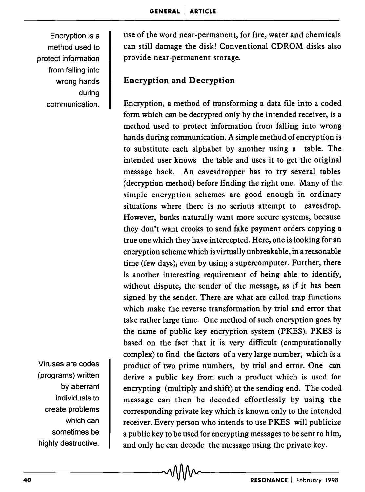Encryption is a method used to protect information from falling into wrong hands during communication.

Viruses are codes (programs) written by aberrant individuals to create problems which can sometimes be highly destructive.

use of the word near-permanent, for fire, water and chemicals can still damage the disk! Conventional CDROM disks also provide near-permanent storage.

## **Encryption and Decryption**

Encryption, a method of transforming a data file into a coded form which can be decrypted only by the intended receiver, is a method used to protect information from falling into wrong hands during communication. A simple method of encryption is to substitute each alphabet by another using a table. The intended user knows the table and uses it to get the original message back. An eavesdropper has to try several tables (decryption method) before finding the right one. Many of the simple encryption schemes are good enough in ordinary situations where there is no serious attempt to eavesdrop. However, banks naturally want more secure systems, because they don't want crooks to send fake payment orders copying a true one which they have intercepted. Here, one is looking for an encryption scheme which is virtually unbreakable, in a reasonable time (few days), even by using a supercomputer. Further, there is another interesting requirement of being able to identify, without dispute, the sender of the message, as if it has been signed by the sender. There are what are called trap functions which make the reverse transformation by trial and error that take rather large time. One method of such encryption goes by the name of public key encryption system (PKES). PKES is based on the fact that it is very difficult (computationally complex) to find the factors of a very large number, which is a product of two prime numbers, by trial and error. One can derive a public key from such a product which is used for encrypting (multiply and shift) at the sending end. The coded message can then be decoded effortlessly by using the corresponding private key which is known only to the intended receiver. Every person who intends to use PKES will publicize a public key to be used for encrypting messages to be sent to him, and only he can decode the message using the private key.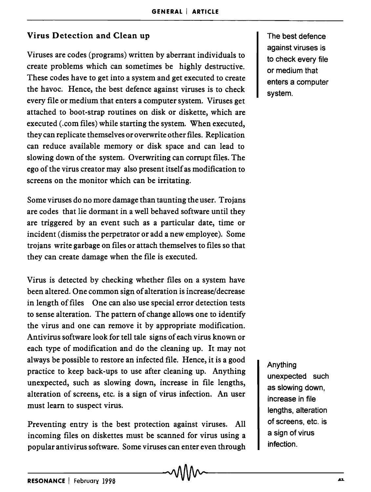### Virus Detection and Clean up

Viruses are codes (programs) written by aberrant individuals to create problems which can sometimes be highly destructive. These codes have to get into a system and get executed to create the havoc. Hence, the best defence against viruses is to check every file or medium that enters a computer system. Viruses get attached to boot-strap routines on disk or diskette, which are executed (.com files) while starting the system. When executed, they can replicate themselves or overwrite other files. Replication can reduce available memory or disk space and can lead to slowing down of the system. Overwriting can corrupt files. The ego of the virus creator may also present itself as modification to screens on the monitor which can be irritating.

Some viruses do no more damage than taunting the user. Trojans are codes that lie dormant in a well behaved software until they are triggered by an event such as a particular date, time or incident (dismiss the perpetrator or add a new employee). Some trojans write garbage on files or attach themselves to files so that they can create damage when the file is executed.

Virus is detected by checking whether files on a system have been altered. One common sign of alteration is increase/decrease in length of files One can also use special error detection tests to sense alteration. The pattern of change allows one to identify the virus and one can remove it by appropriate modification. Antivirus software look for tell tale signs of each virus known or each type of modification and do the cleaning up. It may not always be possible to restore an infected file. Hence, it is a good practice to keep back-ups to use after cleaning up. Anything unexpected, such as slowing down, increase in file lengths, alteration of screens, etc. is a sign of virus infection. An user must learn to suspect virus.

Preventing entry is the best protection against viruses. All incoming files on diskettes must be scanned for virus using a popular antivirus software. Some viruses can enter even through The best defence against viruses is to check every file or medium that enters a computer system.

Anything unexpected such as slowing down, increase in file lengths, alteration of screens, etc. is a sign of virus infection.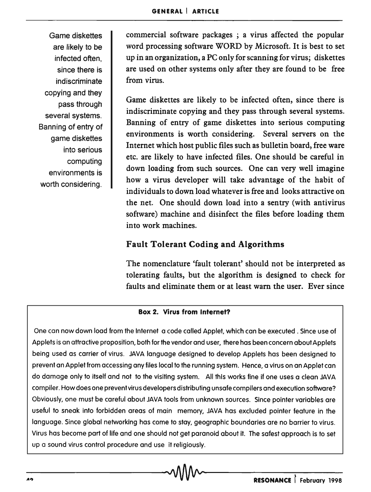Game diskettes are likely to be infected often, since there is indiscriminate copying and they pass through several systems. Banning of entry of game diskettes into serious computing environments is worth considering. commercial software packages; a virus affected the popular word processing software WORD by Microsoft. It is best to set up in an organization, a PC only for scanning for virus; diskettes are used on other systems only after they are found to be free from virus.

Game diskettes are likely to be infected often, since there is indiscriminate copying and they pass through several systems. Banning of entry of game diskettes into serious computing environments is worth considering. Several servers on the Internet which host public files such as bulletin board, free ware etc. are likely to have infected files. One should be careful in down loading from such sources. One can very well imagine how a virus developer will take advantage of the habit of individuals to down load whatever is free and looks attractive on the net. One should down load into a sentry (with antivirus software) machine and disinfect the files before loading them into work machines.

### **Fault Tolerant Coding and Algorithms**

The nomenclature 'fault tolerant' should not be interpreted as tolerating faults, but the algorithm is designed to check for faults and eliminate them or at least warn the user. Ever since

#### **Box 2. Virus from Internet?**

One can now down load from the Internet a code called Applet, which can be executed . Since use of Applets is an attractive proposition, both for the vendor and user, there has been concern about Applets being used as carrier of virus. JAVA language designed to develop Applets has been designed to prevent an Applet from accessing any files local to the running system. Hence, a virus on an Applet can do damage only to itself and not to the visiting system. All this works fine if one uses a clean JAVA compiler. How does one prevent virus developers distributing unsafe compilers and execution software? Obviously, one must be careful about JAVA tools from unknown sources. Since pointer variables are useful to sneak into forbidden areas of main memory, JAVA has excluded pointer feature in the language. Since global networking has come to stay, geographic boundaries are no barrier to virus. Virus has become part of life and one should not get paranoid about it. The safest approach is to set up a sound virus control procedure and use it religiously.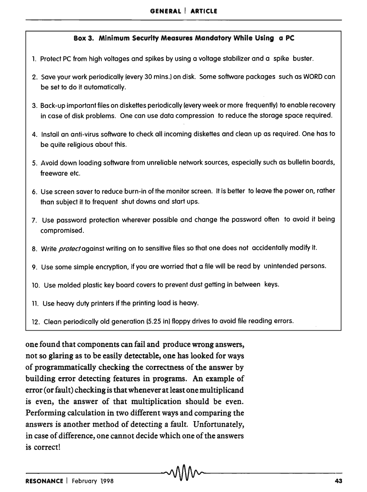#### Box 3. Minimum Security Measures Mandatory While Using a PC

- 1. Protect PC from high voltages and spikes by using a voltage stabilizer and a spike buster.
- 2. Save your work periodically (every 30 mins.) on disk. Some software packages such as WORD can be set to do it automatically.
- 3. Back-up important files on diskettes periodically (every week or more frequently) to enable recovery in case of disk problems. One can use data compression to reduce the storage space required.
- 4. Install an anti-virus software to check all incoming diskettes and clean up as required. One has to be quite religious about this.
- 5. Avoid down loading software from unreliable network sources, especially such as bulletin boards, freeware etc.
- 6. Use screen saver to reduce burn-in of the monitor screen. It is better to leave the power on, rather than subject it to frequent shut downs and start ups.
- 7. Use password protection wherever possible and change the password often to avoid it being compromised.
- 8. Write *protect* against writing on to sensitive files so that one does not accidentally modify it.
- 9. Use some simple encryption, if you are worried that a file will be read by unintended persons.
- 10. Use molded plastic key board covers to prevent dust getting in between keys.
- 11. Use heavy duty printers if the printing load is heavy.
- 12. Clean periodically old generation (5.25 in) floppy drives to avoid file reading errors.

one found that components can fail and produce wrong answers, not so glaring as to be easily detectable, one has looked for ways of programmatically checking the correctness of the answer by building error detecting features in programs. An example of error (or fault) checking is that whenever at least one multiplicand is even, the answer of that multiplication should be even. Performing calculation in two different ways and comparing the answers is another method of detecting a fault. Unfortunately, in case of difference, one cannot decide which one of the answers is correct!